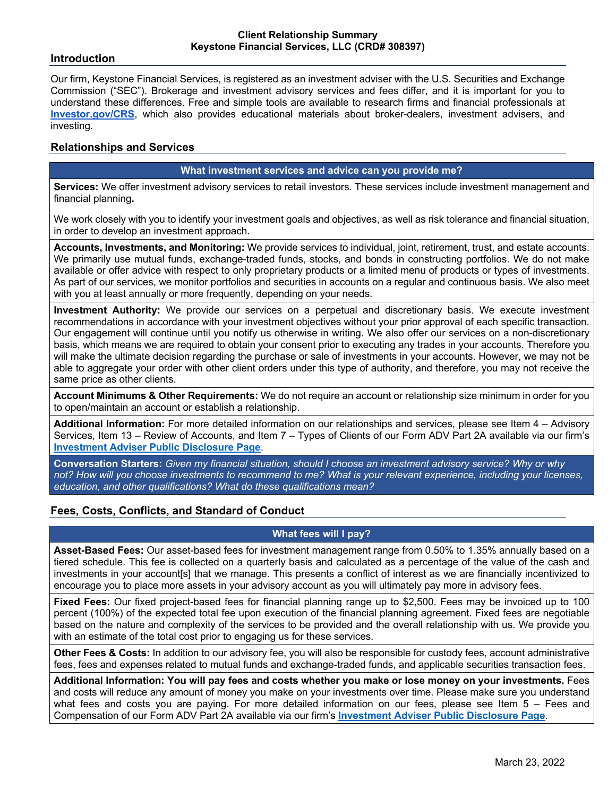## **Introduction**

Our firm, Keystone Financial Services, is registered as an investment adviser with the U.S. Securities and Exchange Commission ("SEC"). Brokerage and investment advisory services and fees differ, and it is important for you to understand these differences. Free and simple tools are available to research firms and financial professionals at **Investor.gov/CRS**, which also provides educational materials about broker-dealers, investment advisers, and investing.

# **Relationships and Services**

## **What investment services and advice can you provide me?**

**Services:** We offer investment advisory services to retail investors. These services include investment management and financial planning**.**

We work closely with you to identify your investment goals and objectives, as well as risk tolerance and financial situation, in order to develop an investment approach.

**Accounts, Investments, and Monitoring:** We provide services to individual, joint, retirement, trust, and estate accounts. We primarily use mutual funds, exchange-traded funds, stocks, and bonds in constructing portfolios. We do not make available or offer advice with respect to only proprietary products or a limited menu of products or types of investments. As part of our services, we monitor portfolios and securities in accounts on a regular and continuous basis. We also meet with you at least annually or more frequently, depending on your needs.

**Investment Authority:** We provide our services on a perpetual and discretionary basis. We execute investment recommendations in accordance with your investment objectives without your prior approval of each specific transaction. Our engagement will continue until you notify us otherwise in writing. We also offer our services on a non-discretionary basis, which means we are required to obtain your consent prior to executing any trades in your accounts. Therefore you will make the ultimate decision regarding the purchase or sale of investments in your accounts. However, we may not be able to aggregate your order with other client orders under this type of authority, and therefore, you may not receive the same price as other clients.

**Account Minimums & Other Requirements:** We do not require an account or relationship size minimum in order for you to open/maintain an account or establish a relationship.

**Additional Information:** For more detailed information on our relationships and services, please see Item 4 – Advisory Services, Item 13 – Review of Accounts, and Item 7 – Types of Clients of our Form ADV Part 2A available via our firm's **Investment Adviser Public Disclosure Page**.

**Conversation Starters:** *Given my financial situation, should I choose an investment advisory service? Why or why not? How will you choose investments to recommend to me? What is your relevant experience, including your licenses, education, and other qualifications? What do these qualifications mean?*

# **Fees, Costs, Conflicts, and Standard of Conduct**

### **What fees will I pay?**

**Asset-Based Fees:** Our asset-based fees for investment management range from 0.50% to 1.35% annually based on a tiered schedule. This fee is collected on a quarterly basis and calculated as a percentage of the value of the cash and investments in your account sl that we manage. This presents a conflict of interest as we are financially incentivized to encourage you to place more assets in your advisory account as you will ultimately pay more in advisory fees.

**Fixed Fees:** Our fixed project-based fees for financial planning range up to \$2,500. Fees may be invoiced up to 100 percent (100%) of the expected total fee upon execution of the financial planning agreement. Fixed fees are negotiable based on the nature and complexity of the services to be provided and the overall relationship with us. We provide you with an estimate of the total cost prior to engaging us for these services.

**Other Fees & Costs:** In addition to our advisory fee, you will also be responsible for custody fees, account administrative fees, fees and expenses related to mutual funds and exchange-traded funds, and applicable securities transaction fees.

**Additional Information: You will pay fees and costs whether you make or lose money on your investments.** Fees and costs will reduce any amount of money you make on your investments over time. Please make sure you understand what fees and costs you are paying. For more detailed information on our fees, please see Item 5 – Fees and Compensation of our Form ADV Part 2A available via our firm's **Investment Adviser Public Disclosure Page**.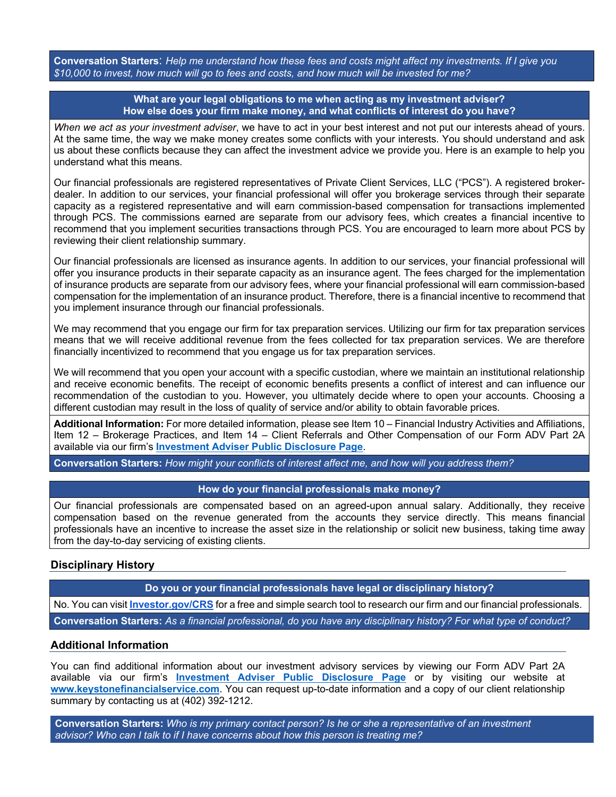**Conversation Starters**: *Help me understand how these fees and costs might affect my investments. If I give you \$10,000 to invest, how much will go to fees and costs, and how much will be invested for me?*

> **What are your legal obligations to me when acting as my investment adviser? How else does your firm make money, and what conflicts of interest do you have?**

*When we act as your investment adviser*, we have to act in your best interest and not put our interests ahead of yours. At the same time, the way we make money creates some conflicts with your interests. You should understand and ask us about these conflicts because they can affect the investment advice we provide you. Here is an example to help you understand what this means.

Our financial professionals are registered representatives of Private Client Services, LLC ("PCS"). A registered brokerdealer. In addition to our services, your financial professional will offer you brokerage services through their separate capacity as a registered representative and will earn commission-based compensation for transactions implemented through PCS. The commissions earned are separate from our advisory fees, which creates a financial incentive to recommend that you implement securities transactions through PCS. You are encouraged to learn more about PCS by reviewing their client relationship summary.

Our financial professionals are licensed as insurance agents. In addition to our services, your financial professional will offer you insurance products in their separate capacity as an insurance agent. The fees charged for the implementation of insurance products are separate from our advisory fees, where your financial professional will earn commission-based compensation for the implementation of an insurance product. Therefore, there is a financial incentive to recommend that you implement insurance through our financial professionals.

We may recommend that you engage our firm for tax preparation services. Utilizing our firm for tax preparation services means that we will receive additional revenue from the fees collected for tax preparation services. We are therefore financially incentivized to recommend that you engage us for tax preparation services.

We will recommend that you open your account with a specific custodian, where we maintain an institutional relationship and receive economic benefits. The receipt of economic benefits presents a conflict of interest and can influence our recommendation of the custodian to you. However, you ultimately decide where to open your accounts. Choosing a different custodian may result in the loss of quality of service and/or ability to obtain favorable prices.

**Additional Information:** For more detailed information, please see Item 10 – Financial Industry Activities and Affiliations, Item 12 – Brokerage Practices, and Item 14 – Client Referrals and Other Compensation of our Form ADV Part 2A available via our firm's **Investment Adviser Public Disclosure Page**.

**Conversation Starters:** *How might your conflicts of interest affect me, and how will you address them?*

### **How do your financial professionals make money?**

Our financial professionals are compensated based on an agreed-upon annual salary. Additionally, they receive compensation based on the revenue generated from the accounts they service directly. This means financial professionals have an incentive to increase the asset size in the relationship or solicit new business, taking time away from the day-to-day servicing of existing clients.

# **Disciplinary History**

**Do you or your financial professionals have legal or disciplinary history?**

No. You can visit **Investor.gov/CRS** for a free and simple search tool to research our firm and our financial professionals.

**Conversation Starters:** *As a financial professional, do you have any disciplinary history? For what type of conduct?*

### **Additional Information**

You can find additional information about our investment advisory services by viewing our Form ADV Part 2A available via our firm's **Investment Adviser Public Disclosure Page** or by visiting our website at **www.keystonefinancialservice.com**. You can request up-to-date information and a copy of our client relationship summary by contacting us at (402) 392-1212.

**Conversation Starters:** *Who is my primary contact person? Is he or she a representative of an investment advisor? Who can I talk to if I have concerns about how this person is treating me?*